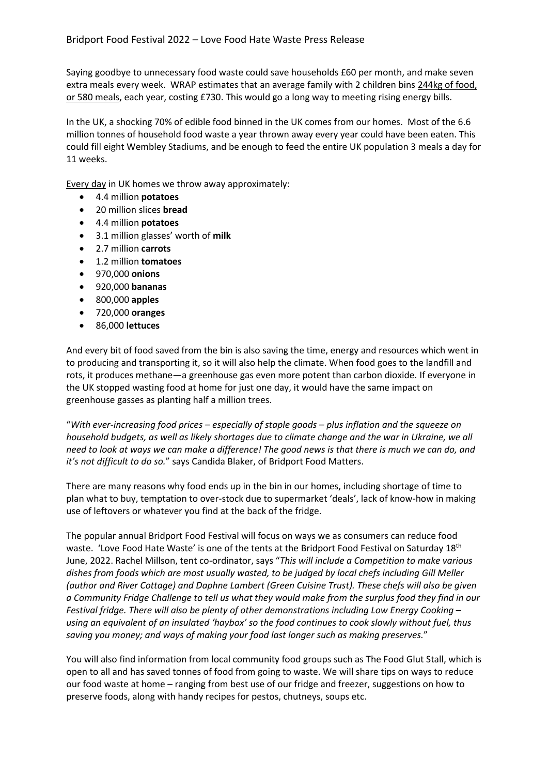Saying goodbye to unnecessary food waste could save households £60 per month, and make seven extra meals every week. WRAP estimates that an average family with 2 children bins 244kg of food, [or 580 meals,](https://www.theguardian.com/environment/2020/jan/24/uk-households-waste-45m-tonnes-of-food-each-year) each year, costing £730. This would go a long way to meeting rising energy bills.

In the UK, a shocking 70% of edible food binned in the UK comes from our homes. Most of the 6.6 million tonnes of household food waste a year thrown away every year could have been eaten. This could fill eight Wembley Stadiums, and be enough to feed the entire UK population 3 meals a day for 11 weeks.

Every day in UK homes we throw away approximately:

- 4.4 million **potatoes**
- 20 million slices **bread**
- 4.4 million **potatoes**
- 3.1 million glasses' worth of **milk**
- 2.7 million **carrots**
- 1.2 million **tomatoes**
- 970,000 **onions**
- 920,000 **bananas**
- 800,000 **apples**
- 720,000 **oranges**
- 86,000 **lettuces**

And every bit of food saved from the bin is also saving the time, energy and resources which went in to producing and transporting it, so it will also help the climate. When food goes to the landfill and rots, it produces methane—a greenhouse gas even more potent than carbon dioxide. If everyone in the UK stopped wasting food at home for just one day, it would have the same impact on greenhouse gasses as planting half a million trees.

"*With ever-increasing food prices – especially of staple goods – plus inflation and the squeeze on household budgets, as well as likely shortages due to climate change and the war in Ukraine, we all need to look at ways we can make a difference! The good news is that there is much we can do, and it's not difficult to do so.*" says Candida Blaker, of Bridport Food Matters.

There are many reasons why food ends up in the bin in our homes, including shortage of time to plan what to buy, temptation to over-stock due to supermarket 'deals', lack of know-how in making use of leftovers or whatever you find at the back of the fridge.

The popular annual Bridport Food Festival will focus on ways we as consumers can reduce food waste. 'Love Food Hate Waste' is one of the tents at the Bridport Food Festival on Saturday 18<sup>th</sup> June, 2022. Rachel Millson, tent co-ordinator, says "*This will include a Competition to make various dishes from foods which are most usually wasted, to be judged by local chefs including Gill Meller (author and River Cottage) and Daphne Lambert (Green Cuisine Trust). These chefs will also be given a Community Fridge Challenge to tell us what they would make from the surplus food they find in our Festival fridge. There will also be plenty of other demonstrations including Low Energy Cooking – using an equivalent of an insulated 'haybox' so the food continues to cook slowly without fuel, thus saving you money; and ways of making your food last longer such as making preserves.*"

You will also find information from local community food groups such as The Food Glut Stall, which is open to all and has saved tonnes of food from going to waste. We will share tips on ways to reduce our food waste at home – ranging from best use of our fridge and freezer, suggestions on how to preserve foods, along with handy recipes for pestos, chutneys, soups etc.